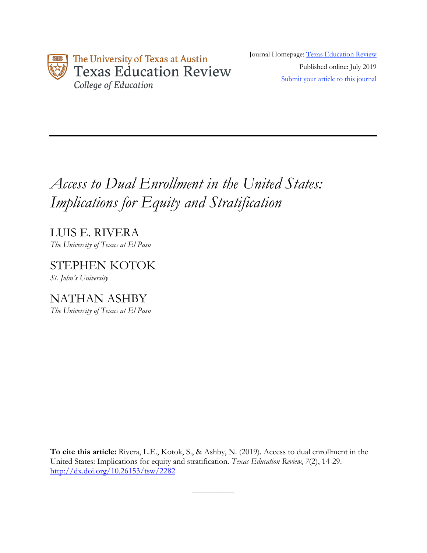

Journal Homepage: Texas Education Review Published online: July 2019 Submit your article to this journal

# *Access to Dual Enrollment in the United States: Implications for Equity and Stratification*

LUIS E. RIVERA *The University of Texas at El Paso*

STEPHEN KOTOK *St. John's University*

NATHAN ASHBY *The University of Texas at El Paso*

**To cite this article:** Rivera, L.E., Kotok, S., & Ashby, N. (2019). Access to dual enrollment in the United States: Implications for equity and stratification. *Texas Education Review*, *7*(2), 14-29. http://dx.doi.org/10.26153/tsw/2282

 $\overline{\phantom{a}}$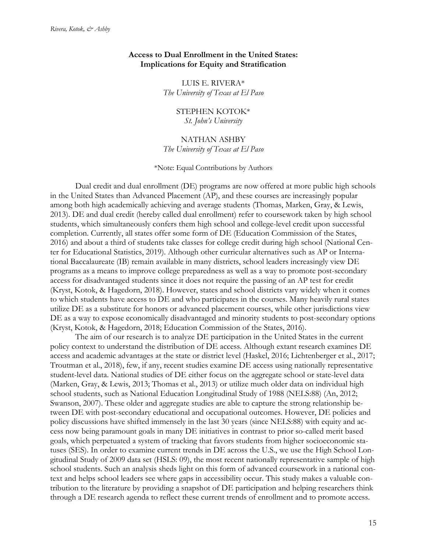# **Access to Dual Enrollment in the United States: Implications for Equity and Stratification**

LUIS E. RIVERA\* *The University of Texas at El Paso*

> STEPHEN KOTOK\* *St. John's University*

## NATHAN ASHBY

*The University of Texas at El Paso*

#### \*Note: Equal Contributions by Authors

Dual credit and dual enrollment (DE) programs are now offered at more public high schools in the United States than Advanced Placement (AP), and these courses are increasingly popular among both high academically achieving and average students (Thomas, Marken, Gray, & Lewis, 2013). DE and dual credit (hereby called dual enrollment) refer to coursework taken by high school students, which simultaneously confers them high school and college-level credit upon successful completion. Currently, all states offer some form of DE (Education Commission of the States, 2016) and about a third of students take classes for college credit during high school (National Center for Educational Statistics, 2019). Although other curricular alternatives such as AP or International Baccalaureate (IB) remain available in many districts, school leaders increasingly view DE programs as a means to improve college preparedness as well as a way to promote post-secondary access for disadvantaged students since it does not require the passing of an AP test for credit (Kryst, Kotok, & Hagedorn, 2018). However, states and school districts vary widely when it comes to which students have access to DE and who participates in the courses. Many heavily rural states utilize DE as a substitute for honors or advanced placement courses, while other jurisdictions view DE as a way to expose economically disadvantaged and minority students to post-secondary options (Kryst, Kotok, & Hagedorn, 2018; Education Commission of the States, 2016).

The aim of our research is to analyze DE participation in the United States in the current policy context to understand the distribution of DE access. Although extant research examines DE access and academic advantages at the state or district level (Haskel, 2016; Lichtenberger et al., 2017; Troutman et al., 2018), few, if any, recent studies examine DE access using nationally representative student-level data. National studies of DE either focus on the aggregate school or state-level data (Marken, Gray, & Lewis, 2013; Thomas et al., 2013) or utilize much older data on individual high school students, such as National Education Longitudinal Study of 1988 (NELS:88) (An, 2012; Swanson, 2007). These older and aggregate studies are able to capture the strong relationship between DE with post-secondary educational and occupational outcomes. However, DE policies and policy discussions have shifted immensely in the last 30 years (since NELS:88) with equity and access now being paramount goals in many DE initiatives in contrast to prior so-called merit based goals, which perpetuated a system of tracking that favors students from higher socioeconomic statuses (SES). In order to examine current trends in DE across the U.S., we use the High School Longitudinal Study of 2009 data set (HSLS: 09), the most recent nationally representative sample of high school students. Such an analysis sheds light on this form of advanced coursework in a national context and helps school leaders see where gaps in accessibility occur. This study makes a valuable contribution to the literature by providing a snapshot of DE participation and helping researchers think through a DE research agenda to reflect these current trends of enrollment and to promote access.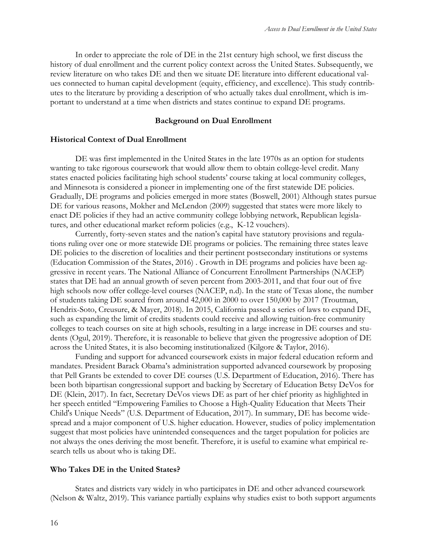In order to appreciate the role of DE in the 21st century high school, we first discuss the history of dual enrollment and the current policy context across the United States. Subsequently, we review literature on who takes DE and then we situate DE literature into different educational values connected to human capital development (equity, efficiency, and excellence). This study contributes to the literature by providing a description of who actually takes dual enrollment, which is important to understand at a time when districts and states continue to expand DE programs.

## **Background on Dual Enrollment**

#### **Historical Context of Dual Enrollment**

DE was first implemented in the United States in the late 1970s as an option for students wanting to take rigorous coursework that would allow them to obtain college-level credit. Many states enacted policies facilitating high school students' course taking at local community colleges, and Minnesota is considered a pioneer in implementing one of the first statewide DE policies. Gradually, DE programs and policies emerged in more states (Boswell, 2001) Although states pursue DE for various reasons, Mokher and McLendon (2009) suggested that states were more likely to enact DE policies if they had an active community college lobbying network, Republican legislatures, and other educational market reform policies (e.g., K-12 vouchers).

Currently, forty-seven states and the nation's capital have statutory provisions and regulations ruling over one or more statewide DE programs or policies. The remaining three states leave DE policies to the discretion of localities and their pertinent postsecondary institutions or systems (Education Commission of the States, 2016) . Growth in DE programs and policies have been aggressive in recent years. The National Alliance of Concurrent Enrollment Partnerships (NACEP) states that DE had an annual growth of seven percent from 2003-2011, and that four out of five high schools now offer college-level courses (NACEP, n.d). In the state of Texas alone, the number of students taking DE soared from around 42,000 in 2000 to over 150,000 by 2017 (Troutman, Hendrix-Soto, Creusure, & Mayer, 2018). In 2015, California passed a series of laws to expand DE, such as expanding the limit of credits students could receive and allowing tuition-free community colleges to teach courses on site at high schools, resulting in a large increase in DE courses and students (Ogul, 2019). Therefore, it is reasonable to believe that given the progressive adoption of DE across the United States, it is also becoming institutionalized (Kilgore & Taylor, 2016).

Funding and support for advanced coursework exists in major federal education reform and mandates. President Barack Obama's administration supported advanced coursework by proposing that Pell Grants be extended to cover DE courses (U.S. Department of Education, 2016). There has been both bipartisan congressional support and backing by Secretary of Education Betsy DeVos for DE (Klein, 2017). In fact, Secretary DeVos views DE as part of her chief priority as highlighted in her speech entitled "Empowering Families to Choose a High-Quality Education that Meets Their Child's Unique Needs" (U.S. Department of Education, 2017). In summary, DE has become widespread and a major component of U.S. higher education. However, studies of policy implementation suggest that most policies have unintended consequences and the target population for policies are not always the ones deriving the most benefit. Therefore, it is useful to examine what empirical research tells us about who is taking DE.

#### **Who Takes DE in the United States?**

States and districts vary widely in who participates in DE and other advanced coursework (Nelson & Waltz, 2019). This variance partially explains why studies exist to both support arguments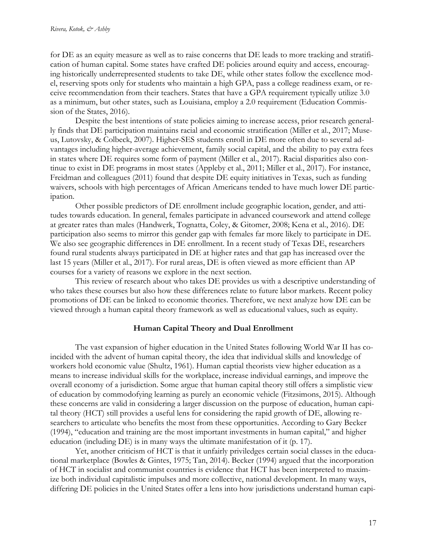for DE as an equity measure as well as to raise concerns that DE leads to more tracking and stratification of human capital. Some states have crafted DE policies around equity and access, encouraging historically underrepresented students to take DE, while other states follow the excellence model, reserving spots only for students who maintain a high GPA, pass a college readiness exam, or receive recommendation from their teachers. States that have a GPA requirement typically utilize 3.0 as a minimum, but other states, such as Louisiana, employ a 2.0 requirement (Education Commission of the States, 2016).

Despite the best intentions of state policies aiming to increase access, prior research generally finds that DE participation maintains racial and economic stratification (Miller et al., 2017; Museus, Lutovsky, & Colbeck, 2007). Higher-SES students enroll in DE more often due to several advantages including higher-average achievement, family social capital, and the ability to pay extra fees in states where DE requires some form of payment (Miller et al., 2017). Racial disparities also continue to exist in DE programs in most states (Appleby et al., 2011; Miller et al., 2017). For instance, Freidman and colleagues (2011) found that despite DE equity initiatives in Texas, such as funding waivers, schools with high percentages of African Americans tended to have much lower DE participation.

Other possible predictors of DE enrollment include geographic location, gender, and attitudes towards education. In general, females participate in advanced coursework and attend college at greater rates than males (Handwerk, Tognatta, Coley, & Gitomer, 2008; Kena et al., 2016). DE participation also seems to mirror this gender gap with females far more likely to participate in DE. We also see geographic differences in DE enrollment. In a recent study of Texas DE, researchers found rural students always participated in DE at higher rates and that gap has increased over the last 15 years (Miller et al., 2017). For rural areas, DE is often viewed as more efficient than AP courses for a variety of reasons we explore in the next section.

This review of research about who takes DE provides us with a descriptive understanding of who takes these courses but also how these differences relate to future labor markets. Recent policy promotions of DE can be linked to economic theories. Therefore, we next analyze how DE can be viewed through a human capital theory framework as well as educational values, such as equity.

# **Human Capital Theory and Dual Enrollment**

The vast expansion of higher education in the United States following World War II has coincided with the advent of human capital theory, the idea that individual skills and knowledge of workers hold economic value (Shultz, 1961). Human captial theorists view higher education as a means to increase individual skills for the workplace, increase individual earnings, and improve the overall economy of a jurisdiction. Some argue that human capital theory still offers a simplistic view of education by commodofying learning as purely an economic vehicle (Fitzsimons, 2015). Although these concerns are valid in considering a larger discussion on the purpose of education, human capital theory (HCT) still provides a useful lens for considering the rapid growth of DE, allowing researchers to articulate who benefits the most from these opportunities. According to Gary Becker (1994), "education and training are the most important investments in human capital," and higher education (including DE) is in many ways the ultimate manifestation of it (p. 17).

Yet, another criticism of HCT is that it unfairly priviledges certain social classes in the educational marketplace (Bowles & Gintes, 1975; Tan, 2014). Becker (1994) argued that the incorporation of HCT in socialist and communist countries is evidence that HCT has been interpreted to maximize both individual capitalistic impulses and more collective, national development. In many ways, differing DE policies in the United States offer a lens into how jurisdictions understand human capi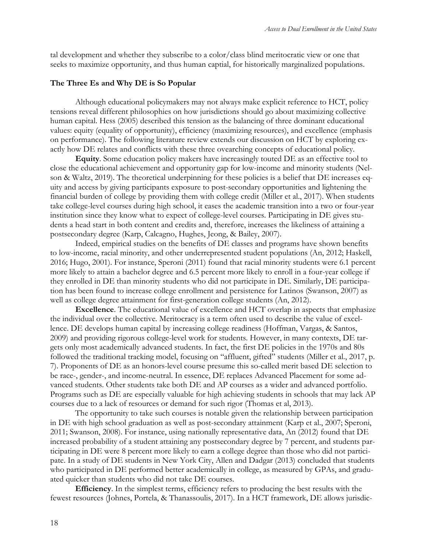tal development and whether they subscribe to a color/class blind meritocratic view or one that seeks to maximize opportunity, and thus human captial, for historically marginalized populations.

#### **The Three Es and Why DE is So Popular**

Although educational policymakers may not always make explicit reference to HCT, policy tensions reveal different philosophies on how jurisdictions should go about maximizing collective human capital. Hess (2005) described this tension as the balancing of three dominant educational values: equity (equality of opportunity), efficiency (maximizing resources), and excellence (emphasis on performance). The following literature review extends our discussion on HCT by exploring exactly how DE relates and conflicts with these three ovearching concepts of educational policy.

**Equity**. Some education policy makers have increasingly touted DE as an effective tool to close the educational achievement and opportunity gap for low-income and minority students (Nelson & Waltz, 2019). The theoretical underpinning for these policies is a belief that DE increases equity and access by giving participants exposure to post-secondary opportunities and lightening the financial burden of college by providing them with college credit (Miller et al., 2017). When students take college-level courses during high school, it eases the academic transition into a two or four-year institution since they know what to expect of college-level courses. Participating in DE gives students a head start in both content and credits and, therefore, increases the likeliness of attaining a postsecondary degree (Karp, Calcagno, Hughes, Jeong, & Bailey, 2007).

Indeed, empirical studies on the benefits of DE classes and programs have shown benefits to low-income, racial minority, and other underrepresented student populations (An, 2012; Haskell, 2016; Hugo, 2001). For instance, Speroni (2011) found that racial minority students were 6.1 percent more likely to attain a bachelor degree and 6.5 percent more likely to enroll in a four-year college if they enrolled in DE than minority students who did not participate in DE. Similarly, DE participation has been found to increase college enrollment and persistence for Latinos (Swanson, 2007) as well as college degree attainment for first-generation college students (An, 2012).

**Excellence**. The educational value of excellence and HCT overlap in aspects that emphasize the individual over the collective. Meritocracy is a term often used to describe the value of excellence. DE develops human capital by increasing college readiness (Hoffman, Vargas, & Santos, 2009) and providing rigorous college-level work for students. However, in many contexts, DE targets only most academically advanced students. In fact, the first DE policies in the 1970s and 80s followed the traditional tracking model, focusing on "affluent, gifted" students (Miller et al., 2017, p. 7). Proponents of DE as an honors-level course presume this so-called merit based DE selection to be race-, gender-, and income-neutral. In essence, DE replaces Advanced Placement for some advanced students. Other students take both DE and AP courses as a wider and advanced portfolio. Programs such as DE are especially valuable for high achieving students in schools that may lack AP courses due to a lack of resources or demand for such rigor (Thomas et al, 2013).

The opportunity to take such courses is notable given the relationship between participation in DE with high school graduation as well as post-secondary attainment (Karp et al., 2007; Speroni, 2011; Swanson, 2008). For instance, using nationally representative data, An (2012) found that DE increased probability of a student attaining any postsecondary degree by 7 percent, and students participating in DE were 8 percent more likely to earn a college degree than those who did not participate. In a study of DE students in New York City, Allen and Dadgar (2013) concluded that students who participated in DE performed better academically in college, as measured by GPAs, and graduated quicker than students who did not take DE courses.

**Efficiency**. In the simplest terms, efficiency refers to producing the best results with the fewest resources (Johnes, Portela, & Thanassoulis, 2017). In a HCT framework, DE allows jurisdic-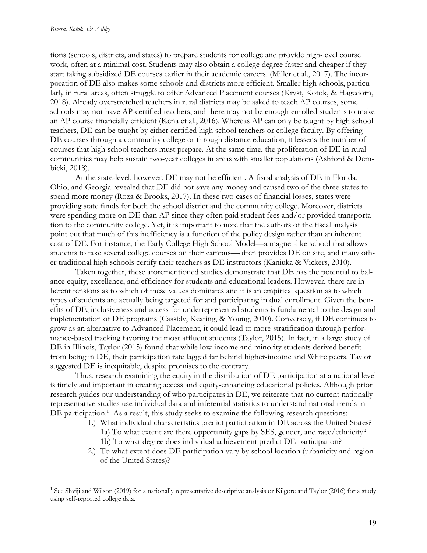tions (schools, districts, and states) to prepare students for college and provide high-level course work, often at a minimal cost. Students may also obtain a college degree faster and cheaper if they start taking subsidized DE courses earlier in their academic careers. (Miller et al., 2017). The incorporation of DE also makes some schools and districts more efficient. Smaller high schools, particularly in rural areas, often struggle to offer Advanced Placement courses (Kryst, Kotok, & Hagedorn, 2018). Already overstretched teachers in rural districts may be asked to teach AP courses, some schools may not have AP-certified teachers, and there may not be enough enrolled students to make an AP course financially efficient (Kena et al., 2016). Whereas AP can only be taught by high school teachers, DE can be taught by either certified high school teachers or college faculty. By offering DE courses through a community college or through distance education, it lessens the number of courses that high school teachers must prepare. At the same time, the proliferation of DE in rural communities may help sustain two-year colleges in areas with smaller populations (Ashford & Dembicki, 2018).

At the state-level, however, DE may not be efficient. A fiscal analysis of DE in Florida, Ohio, and Georgia revealed that DE did not save any money and caused two of the three states to spend more money (Roza & Brooks, 2017). In these two cases of financial losses, states were providing state funds for both the school district and the community college. Moreover, districts were spending more on DE than AP since they often paid student fees and/or provided transportation to the community college. Yet, it is important to note that the authors of the fiscal analysis point out that much of this inefficiency is a function of the policy design rather than an inherent cost of DE. For instance, the Early College High School Model—a magnet-like school that allows students to take several college courses on their campus—often provides DE on site, and many other traditional high schools certify their teachers as DE instructors (Kaniuka & Vickers, 2010).

Taken together, these aforementioned studies demonstrate that DE has the potential to balance equity, excellence, and efficiency for students and educational leaders. However, there are inherent tensions as to which of these values dominates and it is an empirical question as to which types of students are actually being targeted for and participating in dual enrollment. Given the benefits of DE, inclusiveness and access for underrepresented students is fundamental to the design and implementation of DE programs (Cassidy, Keating, & Young, 2010). Conversely, if DE continues to grow as an alternative to Advanced Placement, it could lead to more stratification through performance-based tracking favoring the most affluent students (Taylor, 2015). In fact, in a large study of DE in Illinois, Taylor (2015) found that while low-income and minority students derived benefit from being in DE, their participation rate lagged far behind higher-income and White peers. Taylor suggested DE is inequitable, despite promises to the contrary.

Thus, research examining the equity in the distribution of DE participation at a national level is timely and important in creating access and equity-enhancing educational policies. Although prior research guides our understanding of who participates in DE, we reiterate that no current nationally representative studies use individual data and inferential statistics to understand national trends in DE participation.<sup>1</sup> As a result, this study seeks to examine the following research questions:

- 1.) What individual characteristics predict participation in DE across the United States?
	- 1a) To what extent are there opportunity gaps by SES, gender, and race/ethnicity? 1b) To what degree does individual achievement predict DE participation?
- 2.) To what extent does DE participation vary by school location (urbanicity and region of the United States)?

<sup>&</sup>lt;sup>1</sup> See Shviji and Wilson (2019) for a nationally representative descriptive analysis or Kilgore and Taylor (2016) for a study using self-reported college data.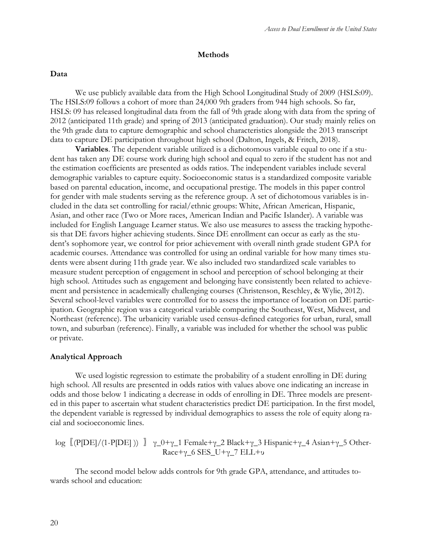## **Methods**

## **Data**

We use publicly available data from the High School Longitudinal Study of 2009 (HSLS:09). The HSLS:09 follows a cohort of more than 24,000 9th graders from 944 high schools. So far, HSLS: 09 has released longitudinal data from the fall of 9th grade along with data from the spring of 2012 (anticipated 11th grade) and spring of 2013 (anticipated graduation). Our study mainly relies on the 9th grade data to capture demographic and school characteristics alongside the 2013 transcript data to capture DE participation throughout high school (Dalton, Ingels, & Fritch, 2018).

**Variables**. The dependent variable utilized is a dichotomous variable equal to one if a student has taken any DE course work during high school and equal to zero if the student has not and the estimation coefficients are presented as odds ratios. The independent variables include several demographic variables to capture equity. Socioeconomic status is a standardized composite variable based on parental education, income, and occupational prestige. The models in this paper control for gender with male students serving as the reference group. A set of dichotomous variables is included in the data set controlling for racial/ethnic groups: White, African American, Hispanic, Asian, and other race (Two or More races, American Indian and Pacific Islander). A variable was included for English Language Learner status. We also use measures to assess the tracking hypothesis that DE favors higher achieving students. Since DE enrollment can occur as early as the student's sophomore year, we control for prior achievement with overall ninth grade student GPA for academic courses. Attendance was controlled for using an ordinal variable for how many times students were absent during 11th grade year. We also included two standardized scale variables to measure student perception of engagement in school and perception of school belonging at their high school. Attitudes such as engagement and belonging have consistently been related to achievement and persistence in academically challenging courses (Christenson, Reschley, & Wylie, 2012). Several school-level variables were controlled for to assess the importance of location on DE participation. Geographic region was a categorical variable comparing the Southeast, West, Midwest, and Northeast (reference). The urbanicity variable used census-defined categories for urban, rural, small town, and suburban (reference). Finally, a variable was included for whether the school was public or private.

### **Analytical Approach**

We used logistic regression to estimate the probability of a student enrolling in DE during high school. All results are presented in odds ratios with values above one indicating an increase in odds and those below 1 indicating a decrease in odds of enrolling in DE. Three models are presented in this paper to ascertain what student characteristics predict DE participation. In the first model, the dependent variable is regressed by individual demographics to assess the role of equity along racial and socioeconomic lines.

log  $[$  (P[DE]/(1-P[DE]))  $]$   $\gamma$  0+γ\_1 Female+γ\_2 Black+γ\_3 Hispanic+γ\_4 Asian+γ\_5 Other-Race+γ\_6 SES\_U+γ\_7 ELL+υ

The second model below adds controls for 9th grade GPA, attendance, and attitudes towards school and education: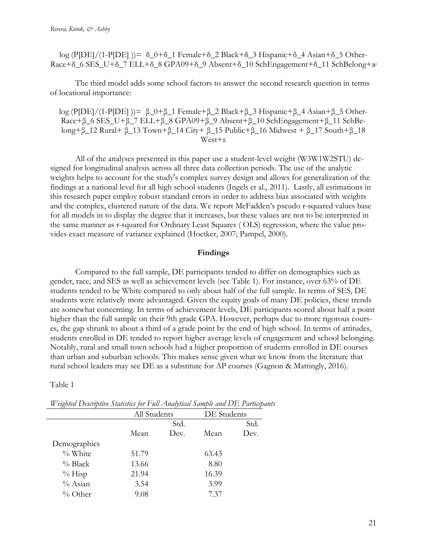log (P[DE]/(1-P[DE] ))=  $\delta_0+\delta_1$  Female + $\delta_2$  Black + $\delta_3$  Hispanic + $\delta_4$  Asian + $\delta_5$  Other-Race+δ\_6 SES\_U+δ\_7 ELL+δ\_8 GPA09+δ\_9 Absent+δ\_10 SchEngagement+δ\_11 SchBelong+*w*

The third model adds some school factors to answer the second research question in terms of locational importance:

log (P[DE]/(1-P[DE] ))= β\_0+β\_1 Female+β\_2 Black+β\_3 Hispanic+β\_4 Asian+β\_5 Other-Race+β\_6 SES\_U+β\_7 ELL+β\_8 GPA09+β\_9 Absent+β\_10 SchEngagement+β\_11 SchBelong+ $\beta$ \_12 Rural+  $\beta$ \_13 Town+ $\beta$ \_14 City+  $\beta$ \_15 Public+ $\beta$ \_16 Midwest +  $\beta$ \_17 South+ $\beta$ \_18 West+ε

All of the analyses presented in this paper use a student-level weight (W3W1W2STU) designed for longitudinal analysis across all three data collection periods. The use of the analytic weights helps to account for the study's complex survey design and allows for generalization of the findings at a national level for all high school students (Ingels et al., 2011). Lastly, all estimations in this research paper employ robust standard errors in order to address bias associated with weights and the complex, clustered nature of the data. We report McFadden's pseudo r-squared values base for all models in to display the degree that it increases, but these values are not to be interpreted in the same manner as r-squared for Ordinary Least Squares ( OLS) regression, where the value provides exact measure of variance explained (Hoetker, 2007; Pampel, 2000).

# **Findings**

Compared to the full sample, DE participants tended to differ on demographics such as gender, race, and SES as well as achievement levels (see Table 1). For instance, over 63% of DE students tended to be White compared to only about half of the full sample. In terms of SES, DE students were relatively more advantaged. Given the equity goals of many DE policies, these trends are somewhat concerning. In terms of achievement levels, DE participants scored about half a point higher than the full sample on their 9th grade GPA. However, perhaps due to more rigorous courses, the gap shrunk to about a third of a grade point by the end of high school. In terms of attitudes, students enrolled in DE tended to report higher average levels of engagement and school belonging. Notably, rural and small town schools had a higher proportion of students enrolled in DE courses than urban and suburban schools. This makes sense given what we know from the literature that rural school leaders may see DE as a substitute for AP courses (Gagnon & Mattingly, 2016).

Table 1

|              | All Students |      | DE Students |      |
|--------------|--------------|------|-------------|------|
|              | Std.         |      |             | Std. |
|              | Mean         | Dev. | Mean        | Dev. |
| Demographics |              |      |             |      |
| % White      | 51.79        |      | 63.43       |      |
| $%$ Black    | 13.66        |      | 8.80        |      |
| $%$ Hisp     | 21.94        |      | 16.39       |      |
| $%$ Asian    | 3.54         |      | 3.99        |      |
| $\%$ Other   | 9.08         |      | 7.37        |      |

*Weighted Descriptive Statistics for Full Analytical Sample and DE Participants*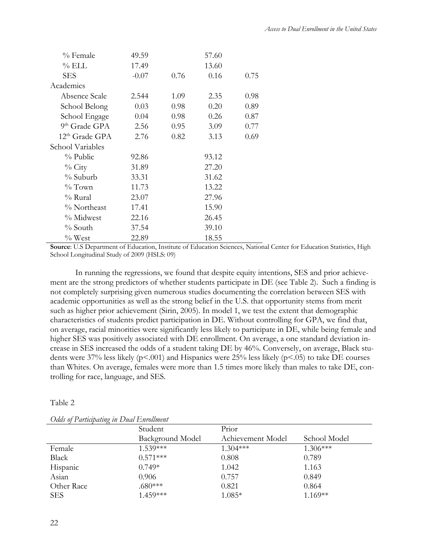| % Female                   | 49.59   | 57.60 |       |      |
|----------------------------|---------|-------|-------|------|
| $\%$ ELL                   | 17.49   |       | 13.60 |      |
| <b>SES</b>                 | $-0.07$ | 0.76  | 0.16  | 0.75 |
| Academics                  |         |       |       |      |
| Absence Scale              | 2.544   | 1.09  | 2.35  | 0.98 |
| School Belong              | 0.03    | 0.98  | 0.20  | 0.89 |
| School Engage              | 0.04    | 0.98  | 0.26  | 0.87 |
| 9 <sup>th</sup> Grade GPA  | 2.56    | 0.95  | 3.09  | 0.77 |
| 12 <sup>th</sup> Grade GPA | 2.76    | 0.82  | 3.13  | 0.69 |
| School Variables           |         |       |       |      |
| $\%$ Public                | 92.86   | 93.12 |       |      |
| $\%$ City                  | 31.89   | 27.20 |       |      |
| % Suburb                   | 33.31   | 31.62 |       |      |
| $\%$ Town                  | 11.73   | 13.22 |       |      |
| $%$ Rural                  | 23.07   | 27.96 |       |      |
| % Northeast                | 17.41   | 15.90 |       |      |
| % Midwest                  | 22.16   | 26.45 |       |      |
| % South                    | 37.54   | 39.10 |       |      |
| $\%$ West                  | 22.89   | 18.55 |       |      |

**Source**: U.S Department of Education, Institute of Education Sciences, National Center for Education Statistics, High School Longitudinal Study of 2009 (HSLS: 09)

In running the regressions, we found that despite equity intentions, SES and prior achievement are the strong predictors of whether students participate in DE (see Table 2). Such a finding is not completely surprising given numerous studies documenting the correlation between SES with academic opportunities as well as the strong belief in the U.S. that opportunity stems from merit such as higher prior achievement (Sirin, 2005). In model 1, we test the extent that demographic characteristics of students predict participation in DE. Without controlling for GPA, we find that, on average, racial minorities were significantly less likely to participate in DE, while being female and higher SES was positively associated with DE enrollment. On average, a one standard deviation increase in SES increased the odds of a student taking DE by 46%. Conversely, on average, Black students were 37% less likely (p<.001) and Hispanics were 25% less likely (p<.05) to take DE courses than Whites. On average, females were more than 1.5 times more likely than males to take DE, controlling for race, language, and SES.

### Table 2

| $\sim$ thus $\sigma_1$ + an every above $\sim$ the $\sim$ shows $\sim$ the second second second |                  |                   |              |  |
|-------------------------------------------------------------------------------------------------|------------------|-------------------|--------------|--|
|                                                                                                 | Student          | Prior             |              |  |
|                                                                                                 | Background Model | Achievement Model | School Model |  |
| Female                                                                                          | $1.539***$       | $1.304***$        | $1.306***$   |  |
| Black                                                                                           | $0.571***$       | 0.808             | 0.789        |  |
| Hispanic                                                                                        | $0.749*$         | 1.042             | 1.163        |  |
| Asian                                                                                           | 0.906            | 0.757             | 0.849        |  |
| Other Race                                                                                      | $.680***$        | 0.821             | 0.864        |  |
| <b>SES</b>                                                                                      | 1.459***         | $1.085*$          | $1.169**$    |  |

*Odds of Participating in Dual Enrollment*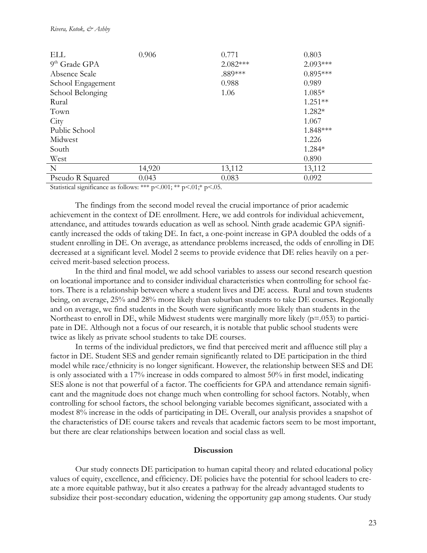| ELL                       | 0.906  | 0.771      | 0.803      |
|---------------------------|--------|------------|------------|
| 9 <sup>th</sup> Grade GPA |        | $2.082***$ | $2.093***$ |
| Absence Scale             |        | .889***    | $0.895***$ |
| School Engagement         |        | 0.988      | 0.989      |
| School Belonging          |        | 1.06       | $1.085*$   |
| Rural                     |        |            | $1.251**$  |
| Town                      |        |            | 1.282*     |
| City                      |        |            | 1.067      |
| Public School             |        |            | 1.848***   |
| Midwest                   |        |            | 1.226      |
| South                     |        |            | 1.284*     |
| West                      |        |            | 0.890      |
| N                         | 14,920 | 13,112     | 13,112     |
| Pseudo R Squared          | 0.043  | 0.083      | 0.092      |

Statistical significance as follows: \*\*\* p<.001; \*\* p<.01; \* p<.05.

The findings from the second model reveal the crucial importance of prior academic achievement in the context of DE enrollment. Here, we add controls for individual achievement, attendance, and attitudes towards education as well as school. Ninth grade academic GPA significantly increased the odds of taking DE. In fact, a one-point increase in GPA doubled the odds of a student enrolling in DE. On average, as attendance problems increased, the odds of enrolling in DE decreased at a significant level. Model 2 seems to provide evidence that DE relies heavily on a perceived merit-based selection process.

In the third and final model, we add school variables to assess our second research question on locational importance and to consider individual characteristics when controlling for school factors. There is a relationship between where a student lives and DE access. Rural and town students being, on average, 25% and 28% more likely than suburban students to take DE courses. Regionally and on average, we find students in the South were significantly more likely than students in the Northeast to enroll in DE, while Midwest students were marginally more likely  $(p=0.053)$  to participate in DE. Although not a focus of our research, it is notable that public school students were twice as likely as private school students to take DE courses.

In terms of the individual predictors, we find that perceived merit and affluence still play a factor in DE. Student SES and gender remain significantly related to DE participation in the third model while race/ethnicity is no longer significant. However, the relationship between SES and DE is only associated with a 17% increase in odds compared to almost 50% in first model, indicating SES alone is not that powerful of a factor. The coefficients for GPA and attendance remain significant and the magnitude does not change much when controlling for school factors. Notably, when controlling for school factors, the school belonging variable becomes significant, associated with a modest 8% increase in the odds of participating in DE. Overall, our analysis provides a snapshot of the characteristics of DE course takers and reveals that academic factors seem to be most important, but there are clear relationships between location and social class as well.

## **Discussion**

Our study connects DE participation to human capital theory and related educational policy values of equity, excellence, and efficiency. DE policies have the potential for school leaders to create a more equitable pathway, but it also creates a pathway for the already advantaged students to subsidize their post-secondary education, widening the opportunity gap among students. Our study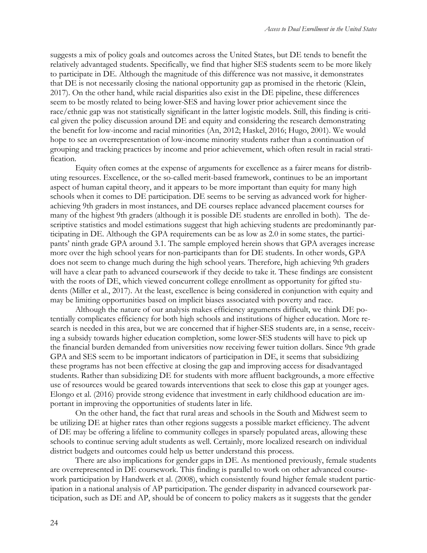suggests a mix of policy goals and outcomes across the United States, but DE tends to benefit the relatively advantaged students. Specifically, we find that higher SES students seem to be more likely to participate in DE. Although the magnitude of this difference was not massive, it demonstrates that DE is not necessarily closing the national opportunity gap as promised in the rhetoric (Klein, 2017). On the other hand, while racial disparities also exist in the DE pipeline, these differences seem to be mostly related to being lower-SES and having lower prior achievement since the race/ethnic gap was not statistically significant in the latter logistic models. Still, this finding is critical given the policy discussion around DE and equity and considering the research demonstrating the benefit for low-income and racial minorities (An, 2012; Haskel, 2016; Hugo, 2001). We would hope to see an overrepresentation of low-income minority students rather than a continuation of grouping and tracking practices by income and prior achievement, which often result in racial stratification.

Equity often comes at the expense of arguments for excellence as a fairer means for distributing resources. Excellence, or the so-called merit-based framework, continues to be an important aspect of human capital theory, and it appears to be more important than equity for many high schools when it comes to DE participation. DE seems to be serving as advanced work for higherachieving 9th graders in most instances, and DE courses replace advanced placement courses for many of the highest 9th graders (although it is possible DE students are enrolled in both). The descriptive statistics and model estimations suggest that high achieving students are predominantly participating in DE. Although the GPA requirements can be as low as 2.0 in some states, the participants' ninth grade GPA around 3.1. The sample employed herein shows that GPA averages increase more over the high school years for non-participants than for DE students. In other words, GPA does not seem to change much during the high school years. Therefore, high achieving 9th graders will have a clear path to advanced coursework if they decide to take it. These findings are consistent with the roots of DE, which viewed concurrent college enrollment as opportunity for gifted students (Miller et al., 2017). At the least, excellence is being considered in conjunction with equity and may be limiting opportunities based on implicit biases associated with poverty and race.

Although the nature of our analysis makes efficiency arguments difficult, we think DE potentially complicates efficiency for both high schools and institutions of higher education. More research is needed in this area, but we are concerned that if higher-SES students are, in a sense, receiving a subsidy towards higher education completion, some lower-SES students will have to pick up the financial burden demanded from universities now receiving fewer tuition dollars. Since 9th grade GPA and SES seem to be important indicators of participation in DE, it seems that subsidizing these programs has not been effective at closing the gap and improving access for disadvantaged students. Rather than subsidizing DE for students with more affluent backgrounds, a more effective use of resources would be geared towards interventions that seek to close this gap at younger ages. Elongo et al. (2016) provide strong evidence that investment in early childhood education are important in improving the opportunities of students later in life.

On the other hand, the fact that rural areas and schools in the South and Midwest seem to be utilizing DE at higher rates than other regions suggests a possible market efficiency. The advent of DE may be offering a lifeline to community colleges in sparsely populated areas, allowing these schools to continue serving adult students as well. Certainly, more localized research on individual district budgets and outcomes could help us better understand this process.

There are also implications for gender gaps in DE. As mentioned previously, female students are overrepresented in DE coursework. This finding is parallel to work on other advanced coursework participation by Handwerk et al. (2008), which consistently found higher female student participation in a national analysis of AP participation. The gender disparity in advanced coursework participation, such as DE and AP, should be of concern to policy makers as it suggests that the gender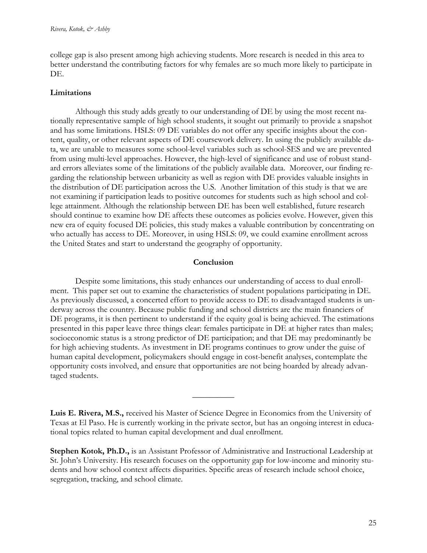college gap is also present among high achieving students. More research is needed in this area to better understand the contributing factors for why females are so much more likely to participate in DE.

# **Limitations**

Although this study adds greatly to our understanding of DE by using the most recent nationally representative sample of high school students, it sought out primarily to provide a snapshot and has some limitations. HSLS: 09 DE variables do not offer any specific insights about the content, quality, or other relevant aspects of DE coursework delivery. In using the publicly available data, we are unable to measures some school-level variables such as school-SES and we are prevented from using multi-level approaches. However, the high-level of significance and use of robust standard errors alleviates some of the limitations of the publicly available data. Moreover, our finding regarding the relationship between urbanicity as well as region with DE provides valuable insights in the distribution of DE participation across the U.S. Another limitation of this study is that we are not examining if participation leads to positive outcomes for students such as high school and college attainment. Although the relationship between DE has been well established, future research should continue to examine how DE affects these outcomes as policies evolve. However, given this new era of equity focused DE policies, this study makes a valuable contribution by concentrating on who actually has access to DE. Moreover, in using HSLS: 09, we could examine enrollment across the United States and start to understand the geography of opportunity.

## **Conclusion**

Despite some limitations, this study enhances our understanding of access to dual enrollment. This paper set out to examine the characteristics of student populations participating in DE. As previously discussed, a concerted effort to provide access to DE to disadvantaged students is underway across the country. Because public funding and school districts are the main financiers of DE programs, it is then pertinent to understand if the equity goal is being achieved. The estimations presented in this paper leave three things clear: females participate in DE at higher rates than males; socioeconomic status is a strong predictor of DE participation; and that DE may predominantly be for high achieving students. As investment in DE programs continues to grow under the guise of human capital development, policymakers should engage in cost-benefit analyses, contemplate the opportunity costs involved, and ensure that opportunities are not being hoarded by already advantaged students.

**Luis E. Rivera, M.S.,** received his Master of Science Degree in Economics from the University of Texas at El Paso. He is currently working in the private sector, but has an ongoing interest in educational topics related to human capital development and dual enrollment.

 $\overline{\phantom{a}}$ 

**Stephen Kotok, Ph.D.,** is an Assistant Professor of Administrative and Instructional Leadership at St. John's University. His research focuses on the opportunity gap for low-income and minority students and how school context affects disparities. Specific areas of research include school choice, segregation, tracking, and school climate.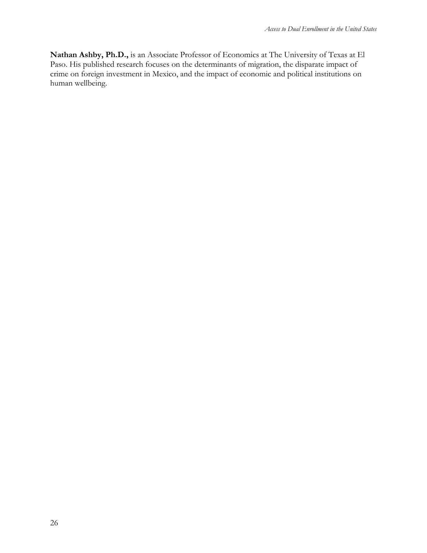**Nathan Ashby, Ph.D.,** is an Associate Professor of Economics at The University of Texas at El Paso. His published research focuses on the determinants of migration, the disparate impact of crime on foreign investment in Mexico, and the impact of economic and political institutions on human wellbeing.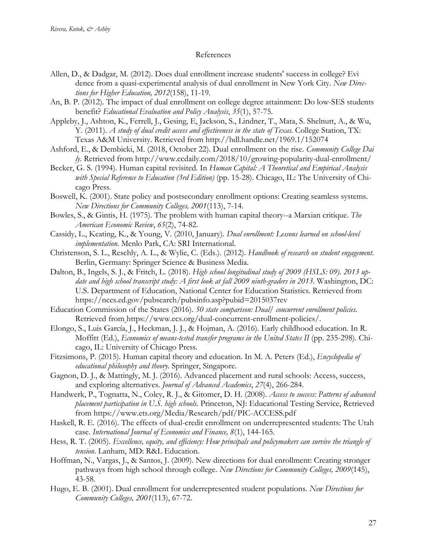#### References

- Allen, D., & Dadgar, M. (2012). Does dual enrollment increase students' success in college? Evi dence from a quasi-experimental analysis of dual enrollment in New York City. *New Directions for Higher Education, 2012*(158), 11-19.
- An, B. P. (2012). The impact of dual enrollment on college degree attainment: Do low-SES students benefit? *Educational Evaluation and Policy Analysis*, *35*(1), 57-75.
- Appleby, J., Ashton, K., Ferrell, J., Gesing, E, Jackson, S., Lindner, T., Mata, S. Shelnutt, A., & Wu, Y. (2011). *A study of dual credit access and effectiveness in the state of Texas.* College Station, TX: Texas A&M University. Retrieved from http://hdl.handle.net/1969.1/152074
- Ashford, E., & Dembicki, M. (2018, October 22). Dual enrollment on the rise. *Community College Dai ly*. Retrieved from http://www.ccdaily.com/2018/10/growing-popularity-dual-enrollment/
- Becker, G. S. (1994). Human capital revisited. In *Human Capital: A Theoretical and Empirical Analysis with Special Reference to Education (3rd Edition)* (pp. 15-28). Chicago, IL: The University of Chicago Press.
- Boswell, K. (2001). State policy and postsecondary enrollment options: Creating seamless systems. *New Directions for Community Colleges, 2001*(113), 7-14.
- Bowles, S., & Gintis, H. (1975). The problem with human capital theory--a Marxian critique. *The American Economic Review*, *65*(2), 74-82.
- Cassidy, L., Keating, K., & Young, V. (2010, January). *Dual enrollment: Lessons learned on school-level implementation*. Menlo Park, CA: SRI International.
- Christenson, S. L., Reschly, A. L., & Wylie, C. (Eds.). (2012). *Handbook of research on student engagement*. Berlin, Germany: Springer Science & Business Media.
- Dalton, B., Ingels, S. J., & Fritch, L. (2018). *High school longitudinal study of 2009 (HSLS: 09). 2013 update and high school transcript study: A first look at fall 2009 ninth-graders in 2013*. Washington, DC: U.S. Department of Education, National Center for Education Statistics. Retrieved from https://nces.ed.gov/pubsearch/pubsinfo.asp?pubid=2015037rev
- Education Commission of the States (2016). *50 state comparison: Dual/ concurrent enrollment policies.* Retrieved from https://www.ecs.org/dual-concurrent-enrollment-policies/.
- Elongo, S., Luis García, J., Heckman, J. J., & Hojman, A. (2016). Early childhood education. In R. Moffitt (Ed.), *Economics of means-tested transfer programs in the United States II* (pp. 235-298). Chicago, IL: University of Chicago Press.
- Fitzsimons, P. (2015). Human capital theory and education. In M. A. Peters (Ed.), *Encyclopedia of educational philosophy and theory*. Springer, Singapore.
- Gagnon, D. J., & Mattingly, M. J. (2016). Advanced placement and rural schools: Access, success, and exploring alternatives. *Journal of Advanced Academics*, *27*(4), 266-284.
- Handwerk, P., Tognatta, N., Coley, R. J., & Gitomer, D. H. (2008). *Access to success: Patterns of advanced placement participation in U.S. high schools.* Princeton, NJ: Educational Testing Service, Retrieved from https://www.ets.org/Media/Research/pdf/PIC-ACCESS.pdf
- Haskell, R. E. (2016). The effects of dual-credit enrollment on underrepresented students: The Utah case. *International Journal of Economics and Finance, 8*(1), 144-165.
- Hess, R. T. (2005). *Excellence, equity, and efficiency: How principals and policymakers can survive the triangle of tension*. Lanham, MD: R&L Education.
- Hoffman, N., Vargas, J., & Santos, J. (2009). New directions for dual enrollment: Creating stronger pathways from high school through college. *New Directions for Community Colleges, 2009*(145), 43-58.
- Hugo, E. B. (2001). Dual enrollment for underrepresented student populations. *New Directions for Community Colleges, 2001*(113), 67-72.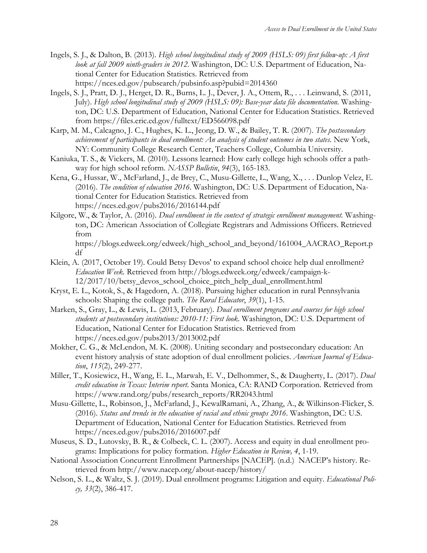- Ingels, S. J., & Dalton, B. (2013). *High school longitudinal study of 2009 (HSLS: 09) first follow-up: A first look at fall 2009 ninth-graders in 2012*. Washington, DC: U.S. Department of Education, National Center for Education Statistics. Retrieved from https://nces.ed.gov/pubsearch/pubsinfo.asp?pubid=2014360
- Ingels, S. J., Pratt, D. J., Herget, D. R., Burns, L. J., Dever, J. A., Ottem, R., . . . Leinwand, S. (2011, July). *High school longitudinal study of 2009 (HSLS: 09): Base-year data file documentation.* Washington, DC: U.S. Department of Education, National Center for Education Statistics. Retrieved from https://files.eric.ed.gov/fulltext/ED566098.pdf
- Karp, M. M., Calcagno, J. C., Hughes, K. L., Jeong, D. W., & Bailey, T. R. (2007). *The postsecondary achievement of participants in dual enrollment: An analysis of student outcomes in two states*. New York, NY: Community College Research Center, Teachers College, Columbia University.
- Kaniuka, T. S., & Vickers, M. (2010). Lessons learned: How early college high schools offer a pathway for high school reform. *NASSP Bulletin*, *94*(3), 165-183.
- Kena, G., Hussar, W., McFarland, J., de Brey, C., Musu-Gillette, L., Wang, X., . . . Dunlop Velez, E. (2016). *The condition of education 2016*. Washington, DC: U.S. Department of Education, National Center for Education Statistics. Retrieved from https://nces.ed.gov/pubs2016/2016144.pdf
- Kilgore, W., & Taylor, A. (2016). *Dual enrollment in the context of strategic enrollment management.* Washington, DC: American Association of Collegiate Registrars and Admissions Officers. Retrieved from

https://blogs.edweek.org/edweek/high\_school\_and\_beyond/161004\_AACRAO\_Report.p df

- Klein, A. (2017, October 19). Could Betsy Devos' to expand school choice help dual enrollment? *Education Week.* Retrieved from http://blogs.edweek.org/edweek/campaign-k-12/2017/10/betsy\_devos\_school\_choice\_pitch\_help\_dual\_enrollment.html
- Kryst, E. L., Kotok, S., & Hagedorn, A. (2018). Pursuing higher education in rural Pennsylvania schools: Shaping the college path. *The Rural Educator*, *39*(1), 1-15.
- Marken, S., Gray, L., & Lewis, L. (2013, February). *Dual enrollment programs and courses for high school students at postsecondary institutions: 2010-11: First look*. Washington, DC: U.S. Department of Education, National Center for Education Statistics. Retrieved from https://nces.ed.gov/pubs2013/2013002.pdf
- Mokher, C. G., & McLendon, M. K. (2008). Uniting secondary and postsecondary education: An event history analysis of state adoption of dual enrollment policies. *American Journal of Education*, *115*(2), 249-277.
- Miller, T., Kosiewicz, H., Wang, E. L., Marwah, E. V., Delhommer, S., & Daugherty, L. (2017). *Dual credit education in Texas: Interim report*. Santa Monica, CA: RAND Corporation. Retrieved from https://www.rand.org/pubs/research\_reports/RR2043.html
- Musu-Gillette, L., Robinson, J., McFarland, J., KewalRamani, A., Zhang, A., & Wilkinson-Flicker, S. (2016). *Status and trends in the education of racial and ethnic groups 2016*. Washington, DC: U.S. Department of Education, National Center for Education Statistics. Retrieved from https://nces.ed.gov/pubs2016/2016007.pdf
- Museus, S. D., Lutovsky, B. R., & Colbeck, C. L. (2007). Access and equity in dual enrollment programs: Implications for policy formation. *Higher Education in Review, 4*, 1-19.
- National Association Concurrent Enrollment Partnerships [NACEP]. (n.d.) NACEP's history. Retrieved from http://www.nacep.org/about-nacep/history/
- Nelson, S. L., & Waltz, S. J. (2019). Dual enrollment programs: Litigation and equity. *Educational Policy, 33*(2), 386-417.